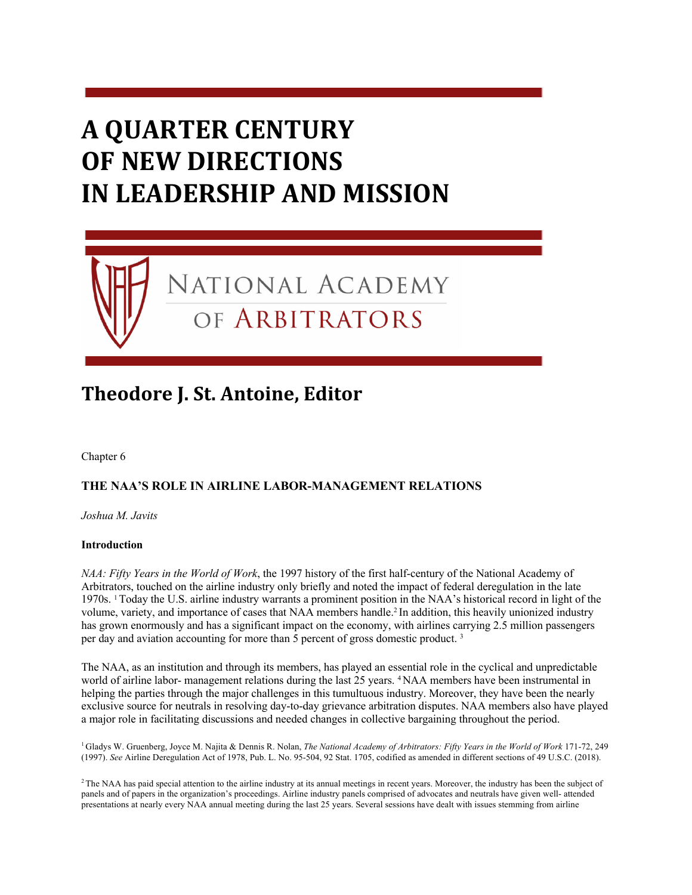# **A QUARTER CENTURY OF NEW DIRECTIONS IN LEADERSHIP AND MISSION**

NATIONAL ACADEMY

OF ARBITRATORS

# **Theodore J. St. Antoine, Editor**

Chapter 6

# **THE NAA'S ROLE IN AIRLINE LABOR-MANAGEMENT RELATIONS**

*Joshua M. Javits* 

#### **Introduction**

*NAA: Fifty Years in the World of Work*, the 1997 history of the first half-century of the National Academy of Arbitrators, touched on the airline industry only briefly and noted the impact of federal deregulation in the late 1970s. 1 Today the U.S. airline industry warrants a prominent position in the NAA's historical record in light of the volume, variety, and importance of cases that NAA members handle.2 In addition, this heavily unionized industry has grown enormously and has a significant impact on the economy, with airlines carrying 2.5 million passengers per day and aviation accounting for more than 5 percent of gross domestic product. 3

The NAA, as an institution and through its members, has played an essential role in the cyclical and unpredictable world of airline labor- management relations during the last 25 years. <sup>4</sup> NAA members have been instrumental in helping the parties through the major challenges in this tumultuous industry. Moreover, they have been the nearly exclusive source for neutrals in resolving day-to-day grievance arbitration disputes. NAA members also have played a major role in facilitating discussions and needed changes in collective bargaining throughout the period.

<sup>1</sup> Gladys W. Gruenberg, Joyce M. Najita & Dennis R. Nolan, *The National Academy of Arbitrators: Fifty Years in the World of Work* 171-72, 249 (1997). *See* Airline Deregulation Act of 1978, Pub. L. No. 95-504, 92 Stat. 1705, codified as amended in different sections of 49 U.S.C. (2018).

<sup>2</sup>The NAA has paid special attention to the airline industry at its annual meetings in recent years. Moreover, the industry has been the subject of panels and of papers in the organization's proceedings. Airline industry panels comprised of advocates and neutrals have given well- attended presentations at nearly every NAA annual meeting during the last 25 years. Several sessions have dealt with issues stemming from airline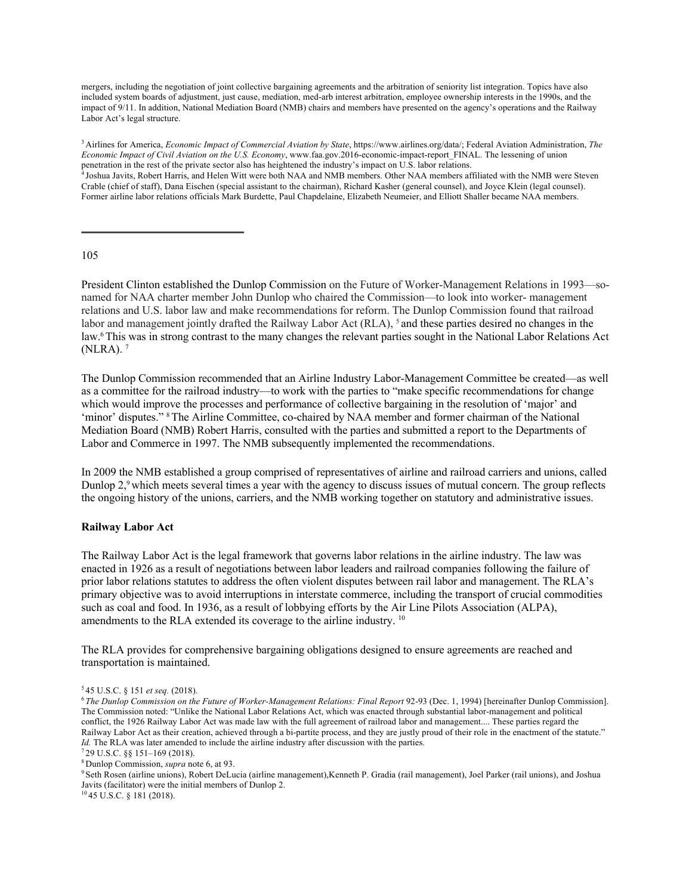mergers, including the negotiation of joint collective bargaining agreements and the arbitration of seniority list integration. Topics have also included system boards of adjustment, just cause, mediation, med-arb interest arbitration, employee ownership interests in the 1990s, and the impact of 9/11. In addition, National Mediation Board (NMB) chairs and members have presented on the agency's operations and the Railway Labor Act's legal structure.

3 Airlines for America, *Economic Impact of Commercial Aviation by State*, https://www.airlines.org/data/; Federal Aviation Administration, *The Economic Impact of Civil Aviation on the U.S. Economy*, www.faa.gov.2016-economic-impact-report\_FINAL. The lessening of union penetration in the rest of the private sector also has heightened the industry's impact on U.S. labor relations.

4 Joshua Javits, Robert Harris, and Helen Witt were both NAA and NMB members. Other NAA members affiliated with the NMB were Steven Crable (chief of staff), Dana Eischen (special assistant to the chairman), Richard Kasher (general counsel), and Joyce Klein (legal counsel). Former airline labor relations officials Mark Burdette, Paul Chapdelaine, Elizabeth Neumeier, and Elliott Shaller became NAA members.

#### 105

President Clinton established the Dunlop Commission on the Future of Worker-Management Relations in 1993—sonamed for NAA charter member John Dunlop who chaired the Commission—to look into worker- management relations and U.S. labor law and make recommendations for reform. The Dunlop Commission found that railroad labor and management jointly drafted the Railway Labor Act (RLA), <sup>5</sup> and these parties desired no changes in the law.6 This was in strong contrast to the many changes the relevant parties sought in the National Labor Relations Act (NLRA). 7

The Dunlop Commission recommended that an Airline Industry Labor-Management Committee be created—as well as a committee for the railroad industry—to work with the parties to "make specific recommendations for change which would improve the processes and performance of collective bargaining in the resolution of 'major' and 'minor' disputes." 8 The Airline Committee, co-chaired by NAA member and former chairman of the National Mediation Board (NMB) Robert Harris, consulted with the parties and submitted a report to the Departments of Labor and Commerce in 1997. The NMB subsequently implemented the recommendations.

In 2009 the NMB established a group comprised of representatives of airline and railroad carriers and unions, called Dunlop 2,9 which meets several times a year with the agency to discuss issues of mutual concern. The group reflects the ongoing history of the unions, carriers, and the NMB working together on statutory and administrative issues.

#### **Railway Labor Act**

The Railway Labor Act is the legal framework that governs labor relations in the airline industry. The law was enacted in 1926 as a result of negotiations between labor leaders and railroad companies following the failure of prior labor relations statutes to address the often violent disputes between rail labor and management. The RLA's primary objective was to avoid interruptions in interstate commerce, including the transport of crucial commodities such as coal and food. In 1936, as a result of lobbying efforts by the Air Line Pilots Association (ALPA), amendments to the RLA extended its coverage to the airline industry. 10

The RLA provides for comprehensive bargaining obligations designed to ensure agreements are reached and transportation is maintained.

10 45 U.S.C. § 181 (2018).

<sup>5 45</sup> U.S.C. § 151 *et seq.* (2018).

<sup>&</sup>lt;sup>6</sup> The Dunlop Commission on the Future of Worker-Management Relations: Final Report 92-93 (Dec. 1, 1994) [hereinafter Dunlop Commission]. The Commission noted: "Unlike the National Labor Relations Act, which was enacted through substantial labor-management and political conflict, the 1926 Railway Labor Act was made law with the full agreement of railroad labor and management.... These parties regard the Railway Labor Act as their creation, achieved through a bi-partite process, and they are justly proud of their role in the enactment of the statute." *Id.* The RLA was later amended to include the airline industry after discussion with the parties.

<sup>7 29</sup> U.S.C. §§ 151–169 (2018).

<sup>8</sup> Dunlop Commission, *supra* note 6, at 93.

<sup>9</sup> Seth Rosen (airline unions), Robert DeLucia (airline management),Kenneth P. Gradia (rail management), Joel Parker (rail unions), and Joshua Javits (facilitator) were the initial members of Dunlop 2.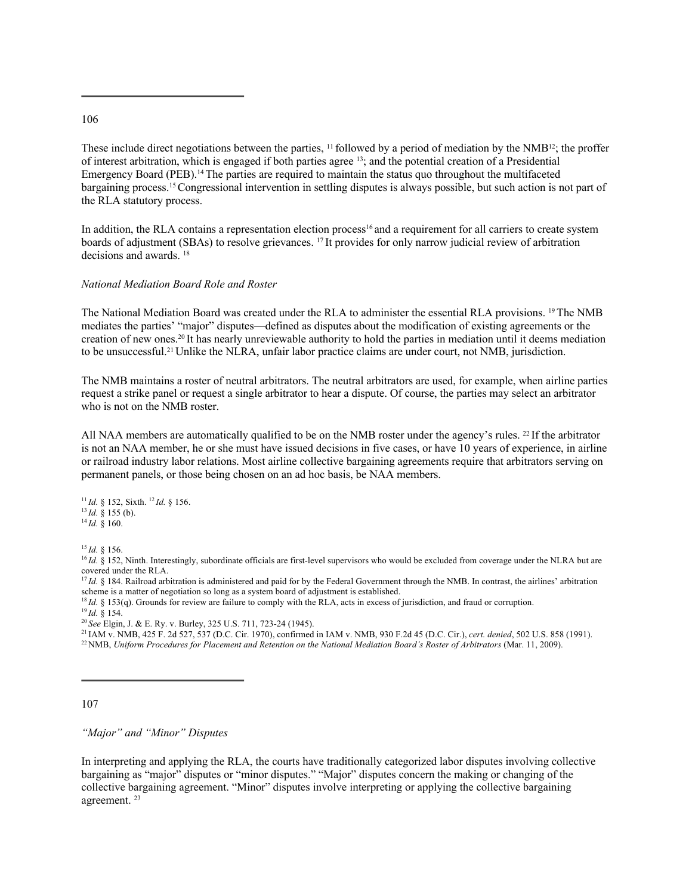#### 106

These include direct negotiations between the parties, <sup>11</sup> followed by a period of mediation by the NMB<sup>12</sup>; the proffer of interest arbitration, which is engaged if both parties agree 13; and the potential creation of a Presidential Emergency Board (PEB).14 The parties are required to maintain the status quo throughout the multifaceted bargaining process.15 Congressional intervention in settling disputes is always possible, but such action is not part of the RLA statutory process.

In addition, the RLA contains a representation election process<sup>16</sup> and a requirement for all carriers to create system boards of adjustment (SBAs) to resolve grievances. 17 It provides for only narrow judicial review of arbitration decisions and awards. 18

#### *National Mediation Board Role and Roster*

The National Mediation Board was created under the RLA to administer the essential RLA provisions. 19 The NMB mediates the parties' "major" disputes—defined as disputes about the modification of existing agreements or the creation of new ones.20 It has nearly unreviewable authority to hold the parties in mediation until it deems mediation to be unsuccessful.21 Unlike the NLRA, unfair labor practice claims are under court, not NMB, jurisdiction.

The NMB maintains a roster of neutral arbitrators. The neutral arbitrators are used, for example, when airline parties request a strike panel or request a single arbitrator to hear a dispute. Of course, the parties may select an arbitrator who is not on the NMB roster.

All NAA members are automatically qualified to be on the NMB roster under the agency's rules. 22 If the arbitrator is not an NAA member, he or she must have issued decisions in five cases, or have 10 years of experience, in airline or railroad industry labor relations. Most airline collective bargaining agreements require that arbitrators serving on permanent panels, or those being chosen on an ad hoc basis, be NAA members.

<sup>11</sup>*Id.* § 152, Sixth. <sup>12</sup>*Id.* § 156. <sup>13</sup>*Id.* § 155 (b). <sup>14</sup>*Id.* § 160.

<sup>15</sup>*Id.* § 156.

<sup>16</sup> *Id.* § 152, Ninth. Interestingly, subordinate officials are first-level supervisors who would be excluded from coverage under the NLRA but are covered under the RLA.

<sup>17</sup>*Id.* § 184. Railroad arbitration is administered and paid for by the Federal Government through the NMB. In contrast, the airlines' arbitration scheme is a matter of negotiation so long as a system board of adjustment is established.

<sup>18</sup>*Id.* § 153(q). Grounds for review are failure to comply with the RLA, acts in excess of jurisdiction, and fraud or corruption.

<sup>20</sup>*See* Elgin, J. & E. Ry. v. Burley, 325 U.S. 711, 723-24 (1945).

21 IAM v. NMB, 425 F. 2d 527, 537 (D.C. Cir. 1970), confirmed in IAM v. NMB, 930 F.2d 45 (D.C. Cir.), *cert. denied*, 502 U.S. 858 (1991). <sup>22</sup> NMB, *Uniform Procedures for Placement and Retention on the National Mediation Board's Roster of Arbitrators (Mar. 11, 2009).* 

107

*"Major" and "Minor" Disputes* 

In interpreting and applying the RLA, the courts have traditionally categorized labor disputes involving collective bargaining as "major" disputes or "minor disputes." "Major" disputes concern the making or changing of the collective bargaining agreement. "Minor" disputes involve interpreting or applying the collective bargaining agreement. 23

<sup>19</sup>*Id.* § 154.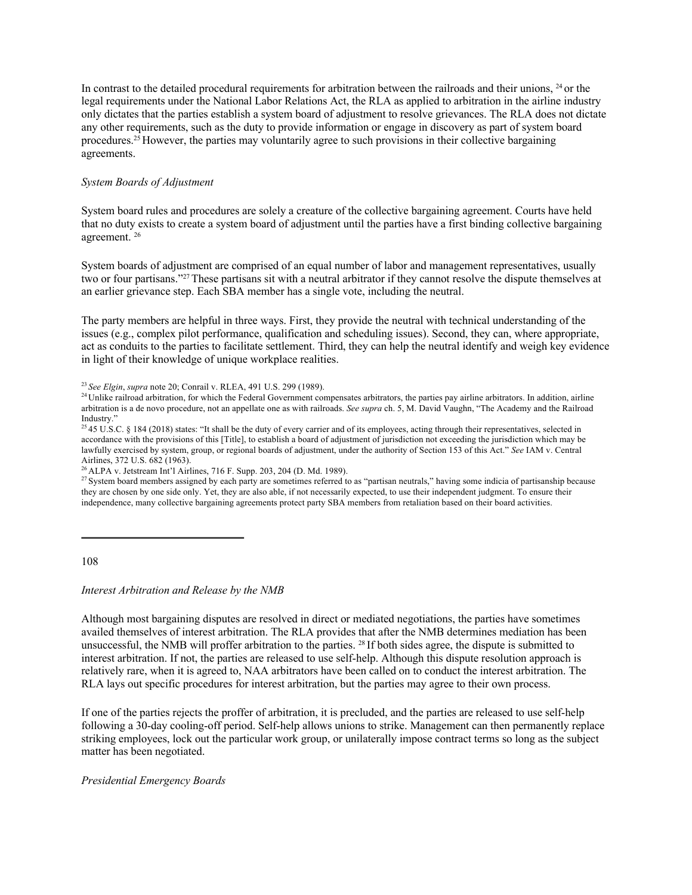In contrast to the detailed procedural requirements for arbitration between the railroads and their unions, <sup>24</sup> or the legal requirements under the National Labor Relations Act, the RLA as applied to arbitration in the airline industry only dictates that the parties establish a system board of adjustment to resolve grievances. The RLA does not dictate any other requirements, such as the duty to provide information or engage in discovery as part of system board procedures.25 However, the parties may voluntarily agree to such provisions in their collective bargaining agreements.

#### *System Boards of Adjustment*

System board rules and procedures are solely a creature of the collective bargaining agreement. Courts have held that no duty exists to create a system board of adjustment until the parties have a first binding collective bargaining agreement. 26

System boards of adjustment are comprised of an equal number of labor and management representatives, usually two or four partisans."27 These partisans sit with a neutral arbitrator if they cannot resolve the dispute themselves at an earlier grievance step. Each SBA member has a single vote, including the neutral.

The party members are helpful in three ways. First, they provide the neutral with technical understanding of the issues (e.g., complex pilot performance, qualification and scheduling issues). Second, they can, where appropriate, act as conduits to the parties to facilitate settlement. Third, they can help the neutral identify and weigh key evidence in light of their knowledge of unique workplace realities.

<sup>23</sup>*See Elgin*, *supra* note 20; Conrail v. RLEA, 491 U.S. 299 (1989).

<sup>24</sup> Unlike railroad arbitration, for which the Federal Government compensates arbitrators, the parties pay airline arbitrators. In addition, airline arbitration is a de novo procedure, not an appellate one as with railroads. *See supra* ch. 5, M. David Vaughn, "The Academy and the Railroad Industry."

 $^{25}$  45 U.S.C. § 184 (2018) states: "It shall be the duty of every carrier and of its employees, acting through their representatives, selected in accordance with the provisions of this [Title], to establish a board of adjustment of jurisdiction not exceeding the jurisdiction which may be lawfully exercised by system, group, or regional boards of adjustment, under the authority of Section 153 of this Act." *See* IAM v. Central Airlines, 372 U.S. 682 (1963).

26 ALPA v. Jetstream Int'l Airlines, 716 F. Supp. 203, 204 (D. Md. 1989).

<sup>27</sup> System board members assigned by each party are sometimes referred to as "partisan neutrals," having some indicia of partisanship because they are chosen by one side only. Yet, they are also able, if not necessarily expected, to use their independent judgment. To ensure their independence, many collective bargaining agreements protect party SBA members from retaliation based on their board activities.

108

*Interest Arbitration and Release by the NMB* 

Although most bargaining disputes are resolved in direct or mediated negotiations, the parties have sometimes availed themselves of interest arbitration. The RLA provides that after the NMB determines mediation has been unsuccessful, the NMB will proffer arbitration to the parties. 28 If both sides agree, the dispute is submitted to interest arbitration. If not, the parties are released to use self-help. Although this dispute resolution approach is relatively rare, when it is agreed to, NAA arbitrators have been called on to conduct the interest arbitration. The RLA lays out specific procedures for interest arbitration, but the parties may agree to their own process.

If one of the parties rejects the proffer of arbitration, it is precluded, and the parties are released to use self-help following a 30-day cooling-off period. Self-help allows unions to strike. Management can then permanently replace striking employees, lock out the particular work group, or unilaterally impose contract terms so long as the subject matter has been negotiated.

#### *Presidential Emergency Boards*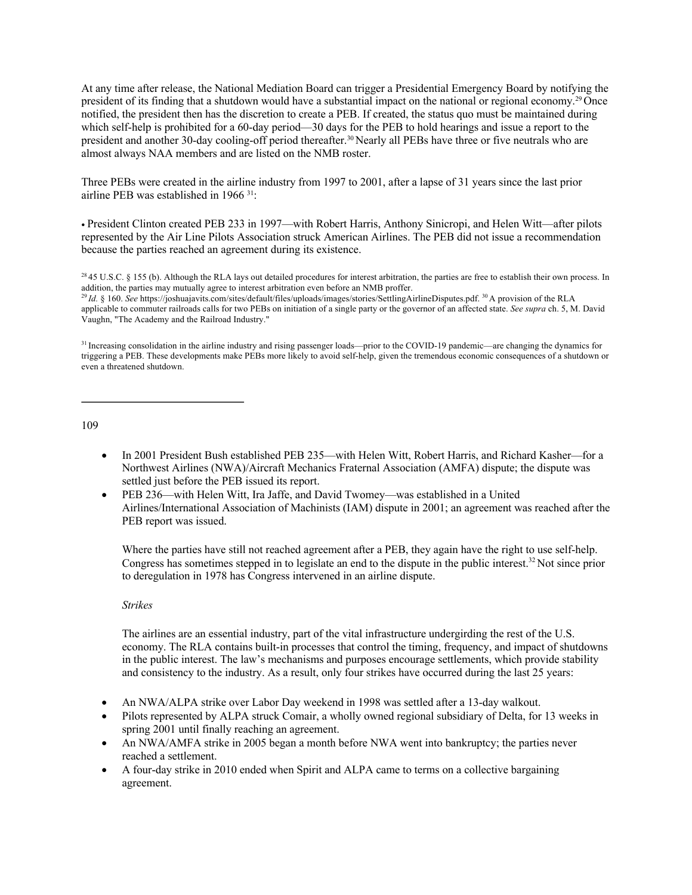At any time after release, the National Mediation Board can trigger a Presidential Emergency Board by notifying the president of its finding that a shutdown would have a substantial impact on the national or regional economy.29 Once notified, the president then has the discretion to create a PEB. If created, the status quo must be maintained during which self-help is prohibited for a 60-day period—30 days for the PEB to hold hearings and issue a report to the president and another 30-day cooling-off period thereafter.30 Nearly all PEBs have three or five neutrals who are almost always NAA members and are listed on the NMB roster.

Three PEBs were created in the airline industry from 1997 to 2001, after a lapse of 31 years since the last prior airline PEB was established in 1966 31:

• President Clinton created PEB 233 in 1997—with Robert Harris, Anthony Sinicropi, and Helen Witt—after pilots represented by the Air Line Pilots Association struck American Airlines. The PEB did not issue a recommendation because the parties reached an agreement during its existence.

109

- In 2001 President Bush established PEB 235—with Helen Witt, Robert Harris, and Richard Kasher—for a Northwest Airlines (NWA)/Aircraft Mechanics Fraternal Association (AMFA) dispute; the dispute was settled just before the PEB issued its report.
- PEB 236—with Helen Witt, Ira Jaffe, and David Twomey—was established in a United Airlines/International Association of Machinists (IAM) dispute in 2001; an agreement was reached after the PEB report was issued.

Where the parties have still not reached agreement after a PEB, they again have the right to use self-help. Congress has sometimes stepped in to legislate an end to the dispute in the public interest.<sup>32</sup> Not since prior to deregulation in 1978 has Congress intervened in an airline dispute.

#### *Strikes*

The airlines are an essential industry, part of the vital infrastructure undergirding the rest of the U.S. economy. The RLA contains built-in processes that control the timing, frequency, and impact of shutdowns in the public interest. The law's mechanisms and purposes encourage settlements, which provide stability and consistency to the industry. As a result, only four strikes have occurred during the last 25 years:

- An NWA/ALPA strike over Labor Day weekend in 1998 was settled after a 13-day walkout.
- Pilots represented by ALPA struck Comair, a wholly owned regional subsidiary of Delta, for 13 weeks in spring 2001 until finally reaching an agreement.
- An NWA/AMFA strike in 2005 began a month before NWA went into bankruptcy; the parties never reached a settlement.
- A four-day strike in 2010 ended when Spirit and ALPA came to terms on a collective bargaining agreement.

 $^{28}$  45 U.S.C. § 155 (b). Although the RLA lays out detailed procedures for interest arbitration, the parties are free to establish their own process. In addition, the parties may mutually agree to interest arbitration even before an NMB proffer.

<sup>&</sup>lt;sup>29</sup>*Id.* § 160. See https://joshuajavits.com/sites/default/files/uploads/images/stories/SettlingAirlineDisputes.pdf. <sup>30</sup>A provision of the RLA applicable to commuter railroads calls for two PEBs on initiation of a single party or the governor of an affected state. *See supra* ch. 5, M. David Vaughn, "The Academy and the Railroad Industry."

<sup>31</sup> Increasing consolidation in the airline industry and rising passenger loads—prior to the COVID-19 pandemic—are changing the dynamics for triggering a PEB. These developments make PEBs more likely to avoid self-help, given the tremendous economic consequences of a shutdown or even a threatened shutdown.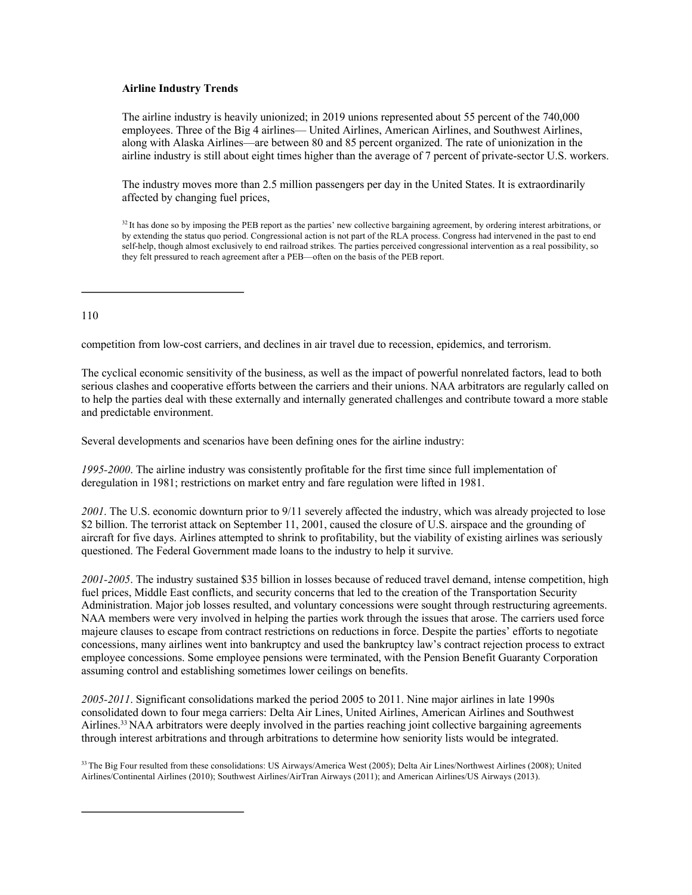#### **Airline Industry Trends**

The airline industry is heavily unionized; in 2019 unions represented about 55 percent of the 740,000 employees. Three of the Big 4 airlines— United Airlines, American Airlines, and Southwest Airlines, along with Alaska Airlines—are between 80 and 85 percent organized. The rate of unionization in the airline industry is still about eight times higher than the average of 7 percent of private-sector U.S. workers.

The industry moves more than 2.5 million passengers per day in the United States. It is extraordinarily affected by changing fuel prices,

<sup>32</sup> It has done so by imposing the PEB report as the parties' new collective bargaining agreement, by ordering interest arbitrations, or by extending the status quo period. Congressional action is not part of the RLA process. Congress had intervened in the past to end self-help, though almost exclusively to end railroad strikes. The parties perceived congressional intervention as a real possibility, so they felt pressured to reach agreement after a PEB—often on the basis of the PEB report.

#### 110

competition from low-cost carriers, and declines in air travel due to recession, epidemics, and terrorism.

The cyclical economic sensitivity of the business, as well as the impact of powerful nonrelated factors, lead to both serious clashes and cooperative efforts between the carriers and their unions. NAA arbitrators are regularly called on to help the parties deal with these externally and internally generated challenges and contribute toward a more stable and predictable environment.

Several developments and scenarios have been defining ones for the airline industry:

*1995-2000*. The airline industry was consistently profitable for the first time since full implementation of deregulation in 1981; restrictions on market entry and fare regulation were lifted in 1981.

*2001*. The U.S. economic downturn prior to 9/11 severely affected the industry, which was already projected to lose \$2 billion. The terrorist attack on September 11, 2001, caused the closure of U.S. airspace and the grounding of aircraft for five days. Airlines attempted to shrink to profitability, but the viability of existing airlines was seriously questioned. The Federal Government made loans to the industry to help it survive.

*2001-2005*. The industry sustained \$35 billion in losses because of reduced travel demand, intense competition, high fuel prices, Middle East conflicts, and security concerns that led to the creation of the Transportation Security Administration. Major job losses resulted, and voluntary concessions were sought through restructuring agreements. NAA members were very involved in helping the parties work through the issues that arose. The carriers used force majeure clauses to escape from contract restrictions on reductions in force. Despite the parties' efforts to negotiate concessions, many airlines went into bankruptcy and used the bankruptcy law's contract rejection process to extract employee concessions. Some employee pensions were terminated, with the Pension Benefit Guaranty Corporation assuming control and establishing sometimes lower ceilings on benefits.

*2005-2011*. Significant consolidations marked the period 2005 to 2011. Nine major airlines in late 1990s consolidated down to four mega carriers: Delta Air Lines, United Airlines, American Airlines and Southwest Airlines.<sup>33</sup> NAA arbitrators were deeply involved in the parties reaching joint collective bargaining agreements through interest arbitrations and through arbitrations to determine how seniority lists would be integrated.

<sup>33</sup> The Big Four resulted from these consolidations: US Airways/America West (2005); Delta Air Lines/Northwest Airlines (2008); United Airlines/Continental Airlines (2010); Southwest Airlines/AirTran Airways (2011); and American Airlines/US Airways (2013).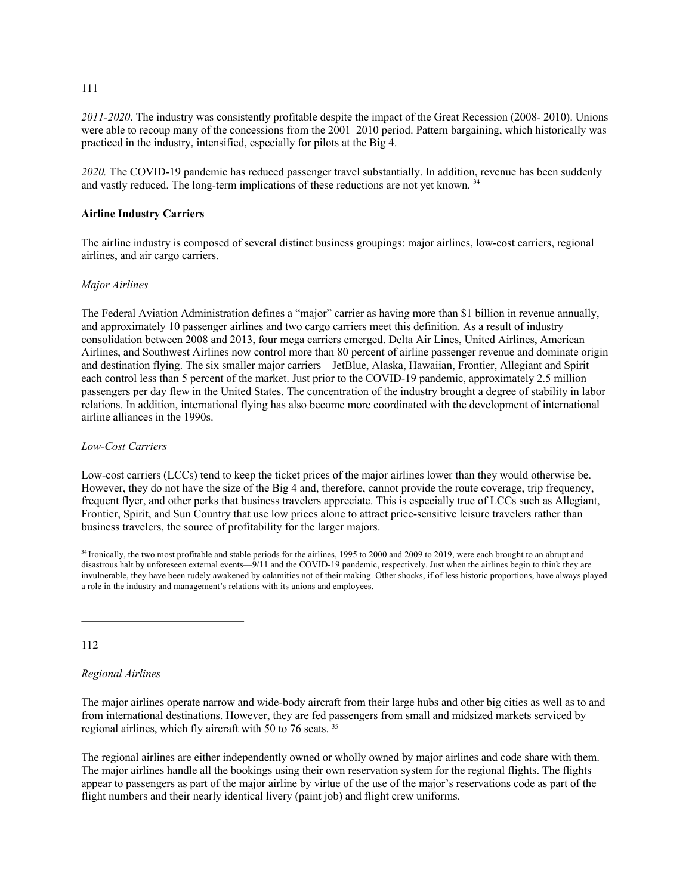*2011-2020*. The industry was consistently profitable despite the impact of the Great Recession (2008- 2010). Unions were able to recoup many of the concessions from the 2001–2010 period. Pattern bargaining, which historically was practiced in the industry, intensified, especially for pilots at the Big 4.

*2020.* The COVID-19 pandemic has reduced passenger travel substantially. In addition, revenue has been suddenly and vastly reduced. The long-term implications of these reductions are not yet known. 34

#### **Airline Industry Carriers**

The airline industry is composed of several distinct business groupings: major airlines, low-cost carriers, regional airlines, and air cargo carriers.

#### *Major Airlines*

The Federal Aviation Administration defines a "major" carrier as having more than \$1 billion in revenue annually, and approximately 10 passenger airlines and two cargo carriers meet this definition. As a result of industry consolidation between 2008 and 2013, four mega carriers emerged. Delta Air Lines, United Airlines, American Airlines, and Southwest Airlines now control more than 80 percent of airline passenger revenue and dominate origin and destination flying. The six smaller major carriers—JetBlue, Alaska, Hawaiian, Frontier, Allegiant and Spirit each control less than 5 percent of the market. Just prior to the COVID-19 pandemic, approximately 2.5 million passengers per day flew in the United States. The concentration of the industry brought a degree of stability in labor relations. In addition, international flying has also become more coordinated with the development of international airline alliances in the 1990s.

#### *Low-Cost Carriers*

Low-cost carriers (LCCs) tend to keep the ticket prices of the major airlines lower than they would otherwise be. However, they do not have the size of the Big 4 and, therefore, cannot provide the route coverage, trip frequency, frequent flyer, and other perks that business travelers appreciate. This is especially true of LCCs such as Allegiant, Frontier, Spirit, and Sun Country that use low prices alone to attract price-sensitive leisure travelers rather than business travelers, the source of profitability for the larger majors.

112

#### *Regional Airlines*

The major airlines operate narrow and wide-body aircraft from their large hubs and other big cities as well as to and from international destinations. However, they are fed passengers from small and midsized markets serviced by regional airlines, which fly aircraft with 50 to 76 seats. 35

The regional airlines are either independently owned or wholly owned by major airlines and code share with them. The major airlines handle all the bookings using their own reservation system for the regional flights. The flights appear to passengers as part of the major airline by virtue of the use of the major's reservations code as part of the flight numbers and their nearly identical livery (paint job) and flight crew uniforms.

111

<sup>&</sup>lt;sup>34</sup> Ironically, the two most profitable and stable periods for the airlines, 1995 to 2000 and 2009 to 2019, were each brought to an abrupt and disastrous halt by unforeseen external events—9/11 and the COVID-19 pandemic, respectively. Just when the airlines begin to think they are invulnerable, they have been rudely awakened by calamities not of their making. Other shocks, if of less historic proportions, have always played a role in the industry and management's relations with its unions and employees.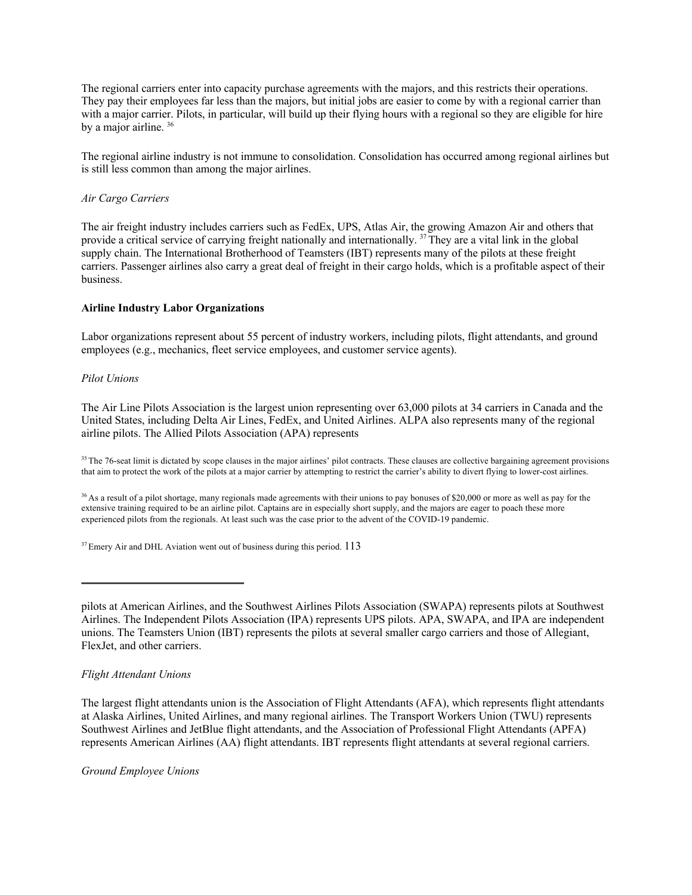The regional carriers enter into capacity purchase agreements with the majors, and this restricts their operations. They pay their employees far less than the majors, but initial jobs are easier to come by with a regional carrier than with a major carrier. Pilots, in particular, will build up their flying hours with a regional so they are eligible for hire by a major airline.<sup>36</sup>

The regional airline industry is not immune to consolidation. Consolidation has occurred among regional airlines but is still less common than among the major airlines.

#### *Air Cargo Carriers*

The air freight industry includes carriers such as FedEx, UPS, Atlas Air, the growing Amazon Air and others that provide a critical service of carrying freight nationally and internationally.<sup>37</sup> They are a vital link in the global supply chain. The International Brotherhood of Teamsters (IBT) represents many of the pilots at these freight carriers. Passenger airlines also carry a great deal of freight in their cargo holds, which is a profitable aspect of their business.

#### **Airline Industry Labor Organizations**

Labor organizations represent about 55 percent of industry workers, including pilots, flight attendants, and ground employees (e.g., mechanics, fleet service employees, and customer service agents).

#### *Pilot Unions*

The Air Line Pilots Association is the largest union representing over 63,000 pilots at 34 carriers in Canada and the United States, including Delta Air Lines, FedEx, and United Airlines. ALPA also represents many of the regional airline pilots. The Allied Pilots Association (APA) represents

<sup>35</sup> The 76-seat limit is dictated by scope clauses in the major airlines' pilot contracts. These clauses are collective bargaining agreement provisions that aim to protect the work of the pilots at a major carrier by attempting to restrict the carrier's ability to divert flying to lower-cost airlines.

<sup>36</sup> As a result of a pilot shortage, many regionals made agreements with their unions to pay bonuses of \$20,000 or more as well as pay for the extensive training required to be an airline pilot. Captains are in especially short supply, and the majors are eager to poach these more experienced pilots from the regionals. At least such was the case prior to the advent of the COVID-19 pandemic.

 $37$  Emery Air and DHL Aviation went out of business during this period.  $113$ 

# *Flight Attendant Unions*

The largest flight attendants union is the Association of Flight Attendants (AFA), which represents flight attendants at Alaska Airlines, United Airlines, and many regional airlines. The Transport Workers Union (TWU) represents Southwest Airlines and JetBlue flight attendants, and the Association of Professional Flight Attendants (APFA) represents American Airlines (AA) flight attendants. IBT represents flight attendants at several regional carriers.

*Ground Employee Unions* 

pilots at American Airlines, and the Southwest Airlines Pilots Association (SWAPA) represents pilots at Southwest Airlines. The Independent Pilots Association (IPA) represents UPS pilots. APA, SWAPA, and IPA are independent unions. The Teamsters Union (IBT) represents the pilots at several smaller cargo carriers and those of Allegiant, FlexJet, and other carriers.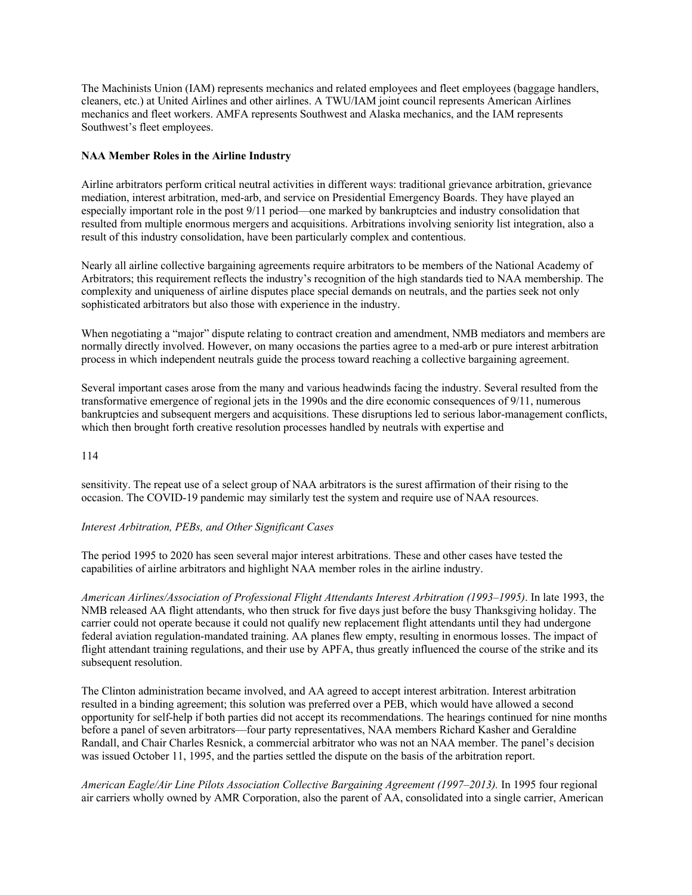The Machinists Union (IAM) represents mechanics and related employees and fleet employees (baggage handlers, cleaners, etc.) at United Airlines and other airlines. A TWU/IAM joint council represents American Airlines mechanics and fleet workers. AMFA represents Southwest and Alaska mechanics, and the IAM represents Southwest's fleet employees.

# **NAA Member Roles in the Airline Industry**

Airline arbitrators perform critical neutral activities in different ways: traditional grievance arbitration, grievance mediation, interest arbitration, med-arb, and service on Presidential Emergency Boards. They have played an especially important role in the post 9/11 period—one marked by bankruptcies and industry consolidation that resulted from multiple enormous mergers and acquisitions. Arbitrations involving seniority list integration, also a result of this industry consolidation, have been particularly complex and contentious.

Nearly all airline collective bargaining agreements require arbitrators to be members of the National Academy of Arbitrators; this requirement reflects the industry's recognition of the high standards tied to NAA membership. The complexity and uniqueness of airline disputes place special demands on neutrals, and the parties seek not only sophisticated arbitrators but also those with experience in the industry.

When negotiating a "major" dispute relating to contract creation and amendment, NMB mediators and members are normally directly involved. However, on many occasions the parties agree to a med-arb or pure interest arbitration process in which independent neutrals guide the process toward reaching a collective bargaining agreement.

Several important cases arose from the many and various headwinds facing the industry. Several resulted from the transformative emergence of regional jets in the 1990s and the dire economic consequences of 9/11, numerous bankruptcies and subsequent mergers and acquisitions. These disruptions led to serious labor-management conflicts, which then brought forth creative resolution processes handled by neutrals with expertise and

# 114

sensitivity. The repeat use of a select group of NAA arbitrators is the surest affirmation of their rising to the occasion. The COVID-19 pandemic may similarly test the system and require use of NAA resources.

# *Interest Arbitration, PEBs, and Other Significant Cases*

The period 1995 to 2020 has seen several major interest arbitrations. These and other cases have tested the capabilities of airline arbitrators and highlight NAA member roles in the airline industry.

*American Airlines/Association of Professional Flight Attendants Interest Arbitration (1993–1995)*. In late 1993, the NMB released AA flight attendants, who then struck for five days just before the busy Thanksgiving holiday. The carrier could not operate because it could not qualify new replacement flight attendants until they had undergone federal aviation regulation-mandated training. AA planes flew empty, resulting in enormous losses. The impact of flight attendant training regulations, and their use by APFA, thus greatly influenced the course of the strike and its subsequent resolution.

The Clinton administration became involved, and AA agreed to accept interest arbitration. Interest arbitration resulted in a binding agreement; this solution was preferred over a PEB, which would have allowed a second opportunity for self-help if both parties did not accept its recommendations. The hearings continued for nine months before a panel of seven arbitrators—four party representatives, NAA members Richard Kasher and Geraldine Randall, and Chair Charles Resnick, a commercial arbitrator who was not an NAA member. The panel's decision was issued October 11, 1995, and the parties settled the dispute on the basis of the arbitration report.

*American Eagle/Air Line Pilots Association Collective Bargaining Agreement (1997–2013).* In 1995 four regional air carriers wholly owned by AMR Corporation, also the parent of AA, consolidated into a single carrier, American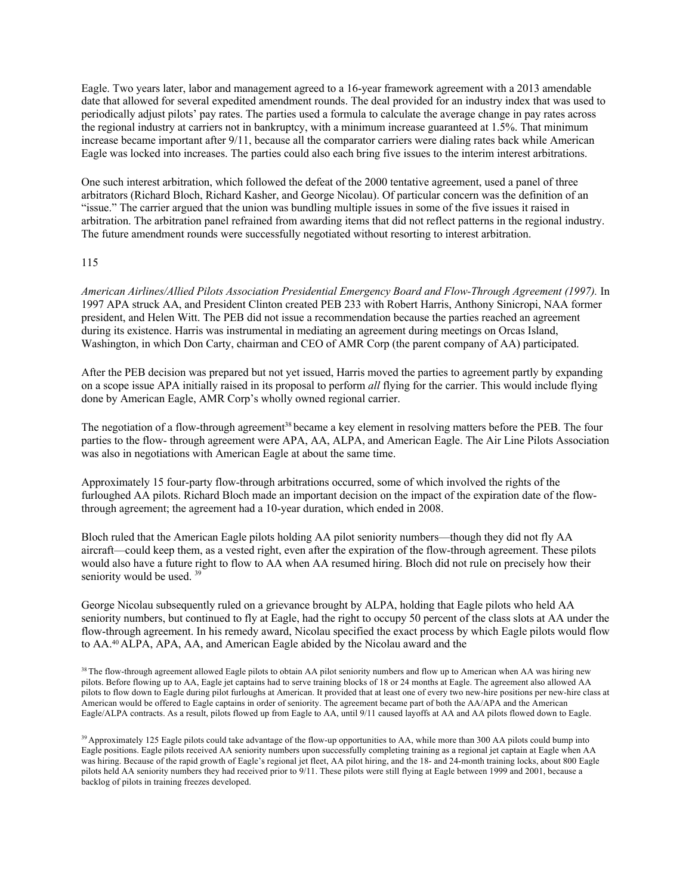Eagle. Two years later, labor and management agreed to a 16-year framework agreement with a 2013 amendable date that allowed for several expedited amendment rounds. The deal provided for an industry index that was used to periodically adjust pilots' pay rates. The parties used a formula to calculate the average change in pay rates across the regional industry at carriers not in bankruptcy, with a minimum increase guaranteed at 1.5%. That minimum increase became important after 9/11, because all the comparator carriers were dialing rates back while American Eagle was locked into increases. The parties could also each bring five issues to the interim interest arbitrations.

One such interest arbitration, which followed the defeat of the 2000 tentative agreement, used a panel of three arbitrators (Richard Bloch, Richard Kasher, and George Nicolau). Of particular concern was the definition of an "issue." The carrier argued that the union was bundling multiple issues in some of the five issues it raised in arbitration. The arbitration panel refrained from awarding items that did not reflect patterns in the regional industry. The future amendment rounds were successfully negotiated without resorting to interest arbitration.

#### 115

*American Airlines/Allied Pilots Association Presidential Emergency Board and Flow-Through Agreement (1997).* In 1997 APA struck AA, and President Clinton created PEB 233 with Robert Harris, Anthony Sinicropi, NAA former president, and Helen Witt. The PEB did not issue a recommendation because the parties reached an agreement during its existence. Harris was instrumental in mediating an agreement during meetings on Orcas Island, Washington, in which Don Carty, chairman and CEO of AMR Corp (the parent company of AA) participated.

After the PEB decision was prepared but not yet issued, Harris moved the parties to agreement partly by expanding on a scope issue APA initially raised in its proposal to perform *all* flying for the carrier. This would include flying done by American Eagle, AMR Corp's wholly owned regional carrier.

The negotiation of a flow-through agreement<sup>38</sup> became a key element in resolving matters before the PEB. The four parties to the flow- through agreement were APA, AA, ALPA, and American Eagle. The Air Line Pilots Association was also in negotiations with American Eagle at about the same time.

Approximately 15 four-party flow-through arbitrations occurred, some of which involved the rights of the furloughed AA pilots. Richard Bloch made an important decision on the impact of the expiration date of the flowthrough agreement; the agreement had a 10-year duration, which ended in 2008.

Bloch ruled that the American Eagle pilots holding AA pilot seniority numbers—though they did not fly AA aircraft—could keep them, as a vested right, even after the expiration of the flow-through agreement. These pilots would also have a future right to flow to AA when AA resumed hiring. Bloch did not rule on precisely how their seniority would be used.<sup>39</sup>

George Nicolau subsequently ruled on a grievance brought by ALPA, holding that Eagle pilots who held AA seniority numbers, but continued to fly at Eagle, had the right to occupy 50 percent of the class slots at AA under the flow-through agreement. In his remedy award, Nicolau specified the exact process by which Eagle pilots would flow to AA.40 ALPA, APA, AA, and American Eagle abided by the Nicolau award and the

<sup>38</sup> The flow-through agreement allowed Eagle pilots to obtain AA pilot seniority numbers and flow up to American when AA was hiring new pilots. Before flowing up to AA, Eagle jet captains had to serve training blocks of 18 or 24 months at Eagle. The agreement also allowed AA pilots to flow down to Eagle during pilot furloughs at American. It provided that at least one of every two new-hire positions per new-hire class at American would be offered to Eagle captains in order of seniority. The agreement became part of both the AA/APA and the American Eagle/ALPA contracts. As a result, pilots flowed up from Eagle to AA, until 9/11 caused layoffs at AA and AA pilots flowed down to Eagle.

<sup>39</sup> Approximately 125 Eagle pilots could take advantage of the flow-up opportunities to AA, while more than 300 AA pilots could bump into Eagle positions. Eagle pilots received AA seniority numbers upon successfully completing training as a regional jet captain at Eagle when AA was hiring. Because of the rapid growth of Eagle's regional jet fleet, AA pilot hiring, and the 18- and 24-month training locks, about 800 Eagle pilots held AA seniority numbers they had received prior to 9/11. These pilots were still flying at Eagle between 1999 and 2001, because a backlog of pilots in training freezes developed.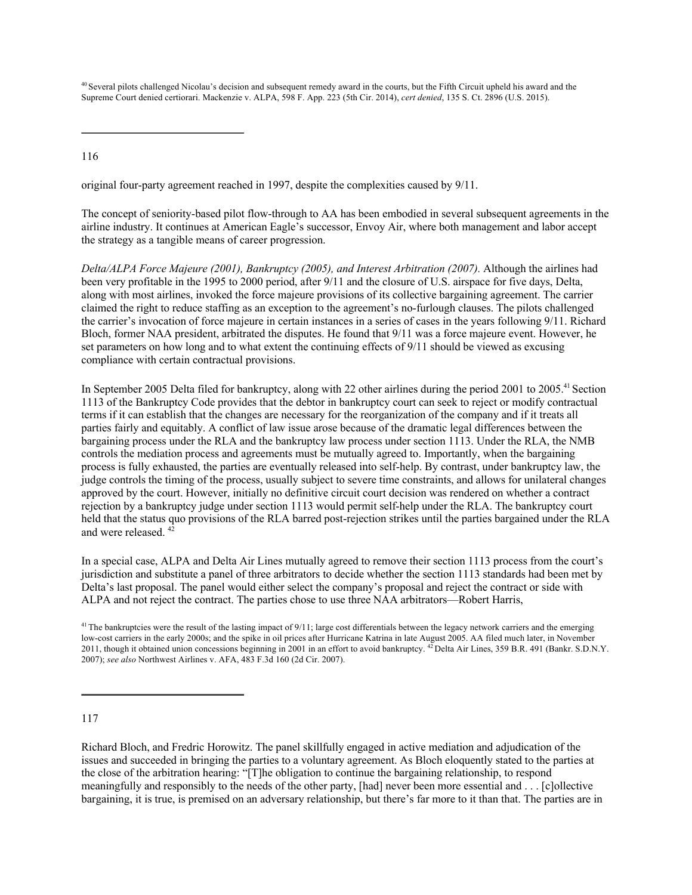<sup>40</sup> Several pilots challenged Nicolau's decision and subsequent remedy award in the courts, but the Fifth Circuit upheld his award and the Supreme Court denied certiorari. Mackenzie v. ALPA, 598 F. App. 223 (5th Cir. 2014), *cert denied*, 135 S. Ct. 2896 (U.S. 2015).

116

original four-party agreement reached in 1997, despite the complexities caused by 9/11.

The concept of seniority-based pilot flow-through to AA has been embodied in several subsequent agreements in the airline industry. It continues at American Eagle's successor, Envoy Air, where both management and labor accept the strategy as a tangible means of career progression.

*Delta/ALPA Force Majeure (2001), Bankruptcy (2005), and Interest Arbitration (2007).* Although the airlines had been very profitable in the 1995 to 2000 period, after 9/11 and the closure of U.S. airspace for five days, Delta, along with most airlines, invoked the force majeure provisions of its collective bargaining agreement. The carrier claimed the right to reduce staffing as an exception to the agreement's no-furlough clauses. The pilots challenged the carrier's invocation of force majeure in certain instances in a series of cases in the years following 9/11. Richard Bloch, former NAA president, arbitrated the disputes. He found that 9/11 was a force majeure event. However, he set parameters on how long and to what extent the continuing effects of 9/11 should be viewed as excusing compliance with certain contractual provisions.

In September 2005 Delta filed for bankruptcy, along with 22 other airlines during the period 2001 to 2005.<sup>41</sup> Section 1113 of the Bankruptcy Code provides that the debtor in bankruptcy court can seek to reject or modify contractual terms if it can establish that the changes are necessary for the reorganization of the company and if it treats all parties fairly and equitably. A conflict of law issue arose because of the dramatic legal differences between the bargaining process under the RLA and the bankruptcy law process under section 1113. Under the RLA, the NMB controls the mediation process and agreements must be mutually agreed to. Importantly, when the bargaining process is fully exhausted, the parties are eventually released into self-help. By contrast, under bankruptcy law, the judge controls the timing of the process, usually subject to severe time constraints, and allows for unilateral changes approved by the court. However, initially no definitive circuit court decision was rendered on whether a contract rejection by a bankruptcy judge under section 1113 would permit self-help under the RLA. The bankruptcy court held that the status quo provisions of the RLA barred post-rejection strikes until the parties bargained under the RLA and were released. 42

In a special case, ALPA and Delta Air Lines mutually agreed to remove their section 1113 process from the court's jurisdiction and substitute a panel of three arbitrators to decide whether the section 1113 standards had been met by Delta's last proposal. The panel would either select the company's proposal and reject the contract or side with ALPA and not reject the contract. The parties chose to use three NAA arbitrators—Robert Harris,

# 117

Richard Bloch, and Fredric Horowitz. The panel skillfully engaged in active mediation and adjudication of the issues and succeeded in bringing the parties to a voluntary agreement. As Bloch eloquently stated to the parties at the close of the arbitration hearing: "[T]he obligation to continue the bargaining relationship, to respond meaningfully and responsibly to the needs of the other party, [had] never been more essential and . . . [c]ollective bargaining, it is true, is premised on an adversary relationship, but there's far more to it than that. The parties are in

<sup>&</sup>lt;sup>41</sup> The bankruptcies were the result of the lasting impact of 9/11; large cost differentials between the legacy network carriers and the emerging low-cost carriers in the early 2000s; and the spike in oil prices after Hurricane Katrina in late August 2005. AA filed much later, in November 2011, though it obtained union concessions beginning in 2001 in an effort to avoid bankruptcy. <sup>42</sup> Delta Air Lines, 359 B.R. 491 (Bankr. S.D.N.Y. 2007); *see also* Northwest Airlines v. AFA, 483 F.3d 160 (2d Cir. 2007).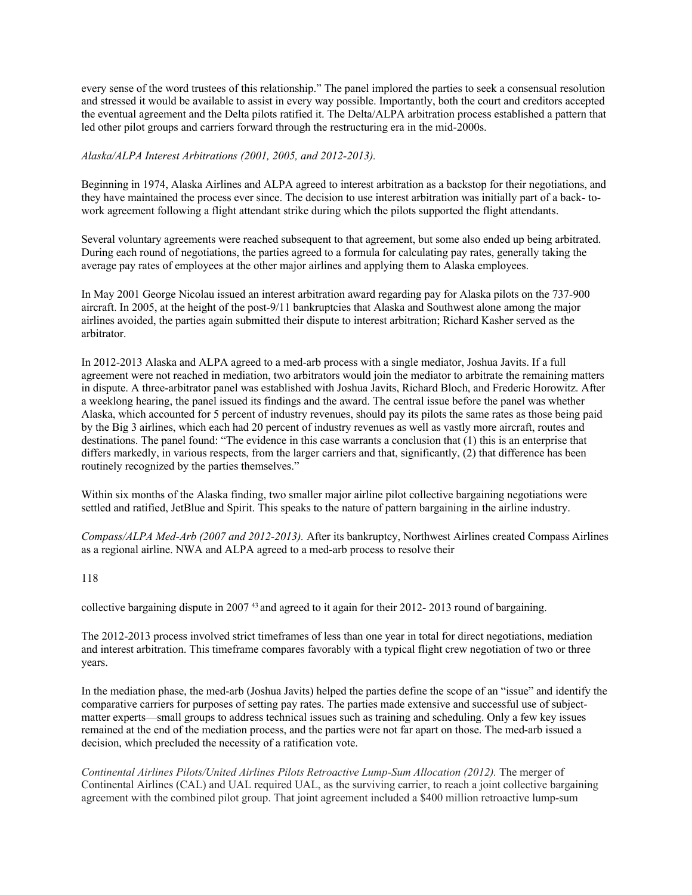every sense of the word trustees of this relationship." The panel implored the parties to seek a consensual resolution and stressed it would be available to assist in every way possible. Importantly, both the court and creditors accepted the eventual agreement and the Delta pilots ratified it. The Delta/ALPA arbitration process established a pattern that led other pilot groups and carriers forward through the restructuring era in the mid-2000s.

### *Alaska/ALPA Interest Arbitrations (2001, 2005, and 2012-2013).*

Beginning in 1974, Alaska Airlines and ALPA agreed to interest arbitration as a backstop for their negotiations, and they have maintained the process ever since. The decision to use interest arbitration was initially part of a back- towork agreement following a flight attendant strike during which the pilots supported the flight attendants.

Several voluntary agreements were reached subsequent to that agreement, but some also ended up being arbitrated. During each round of negotiations, the parties agreed to a formula for calculating pay rates, generally taking the average pay rates of employees at the other major airlines and applying them to Alaska employees.

In May 2001 George Nicolau issued an interest arbitration award regarding pay for Alaska pilots on the 737-900 aircraft. In 2005, at the height of the post-9/11 bankruptcies that Alaska and Southwest alone among the major airlines avoided, the parties again submitted their dispute to interest arbitration; Richard Kasher served as the arbitrator.

In 2012-2013 Alaska and ALPA agreed to a med-arb process with a single mediator, Joshua Javits. If a full agreement were not reached in mediation, two arbitrators would join the mediator to arbitrate the remaining matters in dispute. A three-arbitrator panel was established with Joshua Javits, Richard Bloch, and Frederic Horowitz. After a weeklong hearing, the panel issued its findings and the award. The central issue before the panel was whether Alaska, which accounted for 5 percent of industry revenues, should pay its pilots the same rates as those being paid by the Big 3 airlines, which each had 20 percent of industry revenues as well as vastly more aircraft, routes and destinations. The panel found: "The evidence in this case warrants a conclusion that (1) this is an enterprise that differs markedly, in various respects, from the larger carriers and that, significantly, (2) that difference has been routinely recognized by the parties themselves."

Within six months of the Alaska finding, two smaller major airline pilot collective bargaining negotiations were settled and ratified, JetBlue and Spirit. This speaks to the nature of pattern bargaining in the airline industry.

*Compass/ALPA Med-Arb (2007 and 2012-2013).* After its bankruptcy, Northwest Airlines created Compass Airlines as a regional airline. NWA and ALPA agreed to a med-arb process to resolve their

#### 118

collective bargaining dispute in 2007 43 and agreed to it again for their 2012- 2013 round of bargaining.

The 2012-2013 process involved strict timeframes of less than one year in total for direct negotiations, mediation and interest arbitration. This timeframe compares favorably with a typical flight crew negotiation of two or three years.

In the mediation phase, the med-arb (Joshua Javits) helped the parties define the scope of an "issue" and identify the comparative carriers for purposes of setting pay rates. The parties made extensive and successful use of subjectmatter experts—small groups to address technical issues such as training and scheduling. Only a few key issues remained at the end of the mediation process, and the parties were not far apart on those. The med-arb issued a decision, which precluded the necessity of a ratification vote.

*Continental Airlines Pilots/United Airlines Pilots Retroactive Lump-Sum Allocation (2012).* The merger of Continental Airlines (CAL) and UAL required UAL, as the surviving carrier, to reach a joint collective bargaining agreement with the combined pilot group. That joint agreement included a \$400 million retroactive lump-sum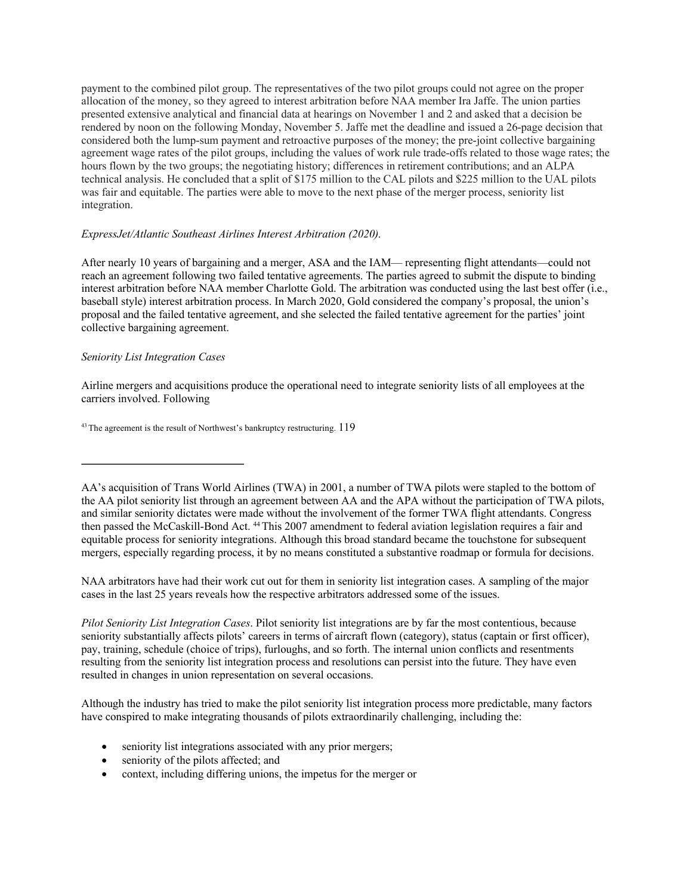payment to the combined pilot group. The representatives of the two pilot groups could not agree on the proper allocation of the money, so they agreed to interest arbitration before NAA member Ira Jaffe. The union parties presented extensive analytical and financial data at hearings on November 1 and 2 and asked that a decision be rendered by noon on the following Monday, November 5. Jaffe met the deadline and issued a 26-page decision that considered both the lump-sum payment and retroactive purposes of the money; the pre-joint collective bargaining agreement wage rates of the pilot groups, including the values of work rule trade-offs related to those wage rates; the hours flown by the two groups; the negotiating history; differences in retirement contributions; and an ALPA technical analysis. He concluded that a split of \$175 million to the CAL pilots and \$225 million to the UAL pilots was fair and equitable. The parties were able to move to the next phase of the merger process, seniority list integration.

#### *ExpressJet/Atlantic Southeast Airlines Interest Arbitration (2020).*

After nearly 10 years of bargaining and a merger, ASA and the IAM— representing flight attendants—could not reach an agreement following two failed tentative agreements. The parties agreed to submit the dispute to binding interest arbitration before NAA member Charlotte Gold. The arbitration was conducted using the last best offer (i.e., baseball style) interest arbitration process. In March 2020, Gold considered the company's proposal, the union's proposal and the failed tentative agreement, and she selected the failed tentative agreement for the parties' joint collective bargaining agreement.

#### *Seniority List Integration Cases*

Airline mergers and acquisitions produce the operational need to integrate seniority lists of all employees at the carriers involved. Following

 $43$  The agreement is the result of Northwest's bankruptcy restructuring.  $119$ 

NAA arbitrators have had their work cut out for them in seniority list integration cases. A sampling of the major cases in the last 25 years reveals how the respective arbitrators addressed some of the issues.

*Pilot Seniority List Integration Cases*. Pilot seniority list integrations are by far the most contentious, because seniority substantially affects pilots' careers in terms of aircraft flown (category), status (captain or first officer), pay, training, schedule (choice of trips), furloughs, and so forth. The internal union conflicts and resentments resulting from the seniority list integration process and resolutions can persist into the future. They have even resulted in changes in union representation on several occasions.

Although the industry has tried to make the pilot seniority list integration process more predictable, many factors have conspired to make integrating thousands of pilots extraordinarily challenging, including the:

- seniority list integrations associated with any prior mergers;
- seniority of the pilots affected; and
- context, including differing unions, the impetus for the merger or

AA's acquisition of Trans World Airlines (TWA) in 2001, a number of TWA pilots were stapled to the bottom of the AA pilot seniority list through an agreement between AA and the APA without the participation of TWA pilots, and similar seniority dictates were made without the involvement of the former TWA flight attendants. Congress then passed the McCaskill-Bond Act. 44 This 2007 amendment to federal aviation legislation requires a fair and equitable process for seniority integrations. Although this broad standard became the touchstone for subsequent mergers, especially regarding process, it by no means constituted a substantive roadmap or formula for decisions.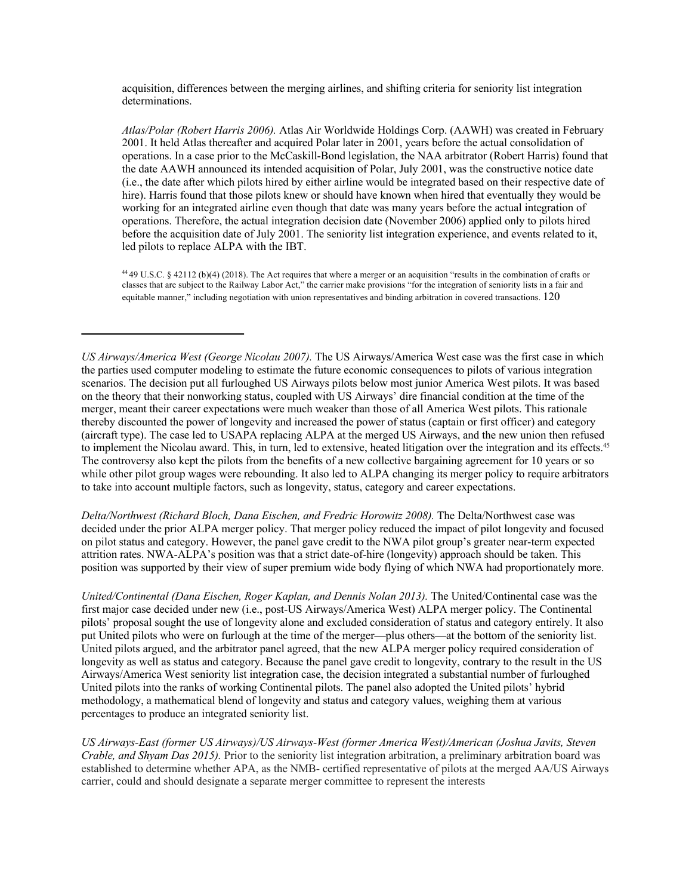acquisition, differences between the merging airlines, and shifting criteria for seniority list integration determinations.

*Atlas/Polar (Robert Harris 2006).* Atlas Air Worldwide Holdings Corp. (AAWH) was created in February 2001. It held Atlas thereafter and acquired Polar later in 2001, years before the actual consolidation of operations. In a case prior to the McCaskill-Bond legislation, the NAA arbitrator (Robert Harris) found that the date AAWH announced its intended acquisition of Polar, July 2001, was the constructive notice date (i.e., the date after which pilots hired by either airline would be integrated based on their respective date of hire). Harris found that those pilots knew or should have known when hired that eventually they would be working for an integrated airline even though that date was many years before the actual integration of operations. Therefore, the actual integration decision date (November 2006) applied only to pilots hired before the acquisition date of July 2001. The seniority list integration experience, and events related to it, led pilots to replace ALPA with the IBT.

44 49 U.S.C. § 42112 (b)(4) (2018). The Act requires that where a merger or an acquisition "results in the combination of crafts or classes that are subject to the Railway Labor Act," the carrier make provisions "for the integration of seniority lists in a fair and equitable manner," including negotiation with union representatives and binding arbitration in covered transactions. 120

*Delta/Northwest (Richard Bloch, Dana Eischen, and Fredric Horowitz 2008).* The Delta/Northwest case was decided under the prior ALPA merger policy. That merger policy reduced the impact of pilot longevity and focused on pilot status and category. However, the panel gave credit to the NWA pilot group's greater near-term expected attrition rates. NWA-ALPA's position was that a strict date-of-hire (longevity) approach should be taken. This position was supported by their view of super premium wide body flying of which NWA had proportionately more.

*United/Continental (Dana Eischen, Roger Kaplan, and Dennis Nolan 2013).* The United/Continental case was the first major case decided under new (i.e., post-US Airways/America West) ALPA merger policy. The Continental pilots' proposal sought the use of longevity alone and excluded consideration of status and category entirely. It also put United pilots who were on furlough at the time of the merger—plus others—at the bottom of the seniority list. United pilots argued, and the arbitrator panel agreed, that the new ALPA merger policy required consideration of longevity as well as status and category. Because the panel gave credit to longevity, contrary to the result in the US Airways/America West seniority list integration case, the decision integrated a substantial number of furloughed United pilots into the ranks of working Continental pilots. The panel also adopted the United pilots' hybrid methodology, a mathematical blend of longevity and status and category values, weighing them at various percentages to produce an integrated seniority list.

*US Airways-East (former US Airways)/US Airways-West (former America West)/American (Joshua Javits, Steven Crable, and Shyam Das 2015).* Prior to the seniority list integration arbitration, a preliminary arbitration board was established to determine whether APA, as the NMB- certified representative of pilots at the merged AA/US Airways carrier, could and should designate a separate merger committee to represent the interests

*US Airways/America West (George Nicolau 2007).* The US Airways/America West case was the first case in which the parties used computer modeling to estimate the future economic consequences to pilots of various integration scenarios. The decision put all furloughed US Airways pilots below most junior America West pilots. It was based on the theory that their nonworking status, coupled with US Airways' dire financial condition at the time of the merger, meant their career expectations were much weaker than those of all America West pilots. This rationale thereby discounted the power of longevity and increased the power of status (captain or first officer) and category (aircraft type). The case led to USAPA replacing ALPA at the merged US Airways, and the new union then refused to implement the Nicolau award. This, in turn, led to extensive, heated litigation over the integration and its effects.<sup>45</sup> The controversy also kept the pilots from the benefits of a new collective bargaining agreement for 10 years or so while other pilot group wages were rebounding. It also led to ALPA changing its merger policy to require arbitrators to take into account multiple factors, such as longevity, status, category and career expectations.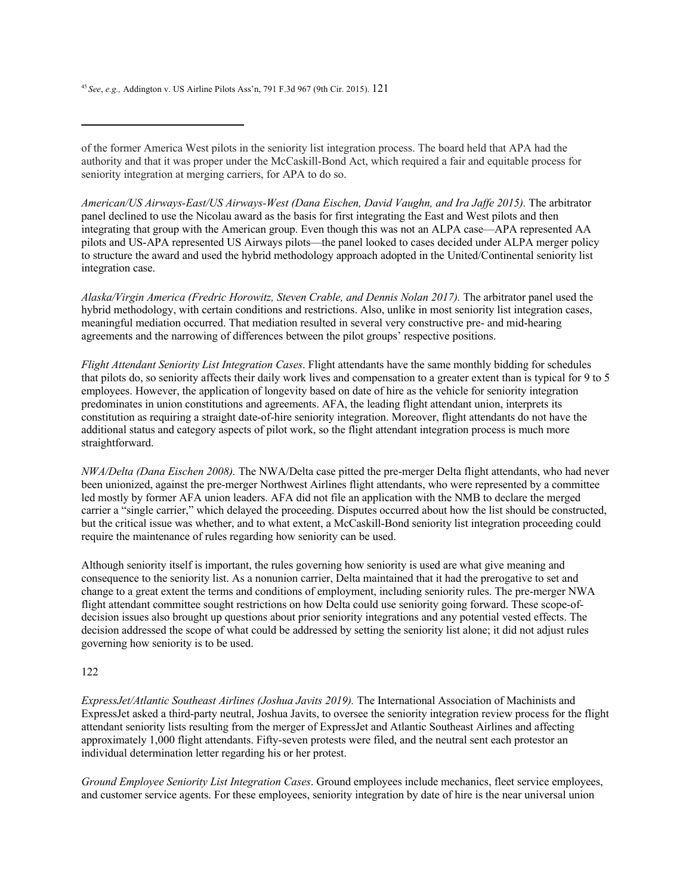<sup>45</sup>*See*, *e.g.,* Addington v. US Airline Pilots Ass'n, 791 F.3d 967 (9th Cir. 2015). 121

of the former America West pilots in the seniority list integration process. The board held that APA had the authority and that it was proper under the McCaskill-Bond Act, which required a fair and equitable process for seniority integration at merging carriers, for APA to do so.

*American/US Airways-East/US Airways-West (Dana Eischen, David Vaughn, and Ira Jaffe 2015).* The arbitrator panel declined to use the Nicolau award as the basis for first integrating the East and West pilots and then integrating that group with the American group. Even though this was not an ALPA case—APA represented AA pilots and US-APA represented US Airways pilots—the panel looked to cases decided under ALPA merger policy to structure the award and used the hybrid methodology approach adopted in the United/Continental seniority list integration case.

*Alaska/Virgin America (Fredric Horowitz, Steven Crable, and Dennis Nolan 2017).* The arbitrator panel used the hybrid methodology, with certain conditions and restrictions. Also, unlike in most seniority list integration cases, meaningful mediation occurred. That mediation resulted in several very constructive pre- and mid-hearing agreements and the narrowing of differences between the pilot groups' respective positions.

*Flight Attendant Seniority List Integration Cases*. Flight attendants have the same monthly bidding for schedules that pilots do, so seniority affects their daily work lives and compensation to a greater extent than is typical for 9 to 5 employees. However, the application of longevity based on date of hire as the vehicle for seniority integration predominates in union constitutions and agreements. AFA, the leading flight attendant union, interprets its constitution as requiring a straight date-of-hire seniority integration. Moreover, flight attendants do not have the additional status and category aspects of pilot work, so the flight attendant integration process is much more straightforward.

*NWA/Delta (Dana Eischen 2008).* The NWA/Delta case pitted the pre-merger Delta flight attendants, who had never been unionized, against the pre-merger Northwest Airlines flight attendants, who were represented by a committee led mostly by former AFA union leaders. AFA did not file an application with the NMB to declare the merged carrier a "single carrier," which delayed the proceeding. Disputes occurred about how the list should be constructed, but the critical issue was whether, and to what extent, a McCaskill-Bond seniority list integration proceeding could require the maintenance of rules regarding how seniority can be used.

Although seniority itself is important, the rules governing how seniority is used are what give meaning and consequence to the seniority list. As a nonunion carrier, Delta maintained that it had the prerogative to set and change to a great extent the terms and conditions of employment, including seniority rules. The pre-merger NWA flight attendant committee sought restrictions on how Delta could use seniority going forward. These scope-ofdecision issues also brought up questions about prior seniority integrations and any potential vested effects. The decision addressed the scope of what could be addressed by setting the seniority list alone; it did not adjust rules governing how seniority is to be used.

# 122

*ExpressJet/Atlantic Southeast Airlines (Joshua Javits 2019)*. The International Association of Machinists and ExpressJet asked a third-party neutral, Joshua Javits, to oversee the seniority integration review process for the flight attendant seniority lists resulting from the merger of ExpressJet and Atlantic Southeast Airlines and affecting approximately 1,000 flight attendants. Fifty-seven protests were filed, and the neutral sent each protestor an individual determination letter regarding his or her protest.

*Ground Employee Seniority List Integration Cases*. Ground employees include mechanics, fleet service employees, and customer service agents. For these employees, seniority integration by date of hire is the near universal union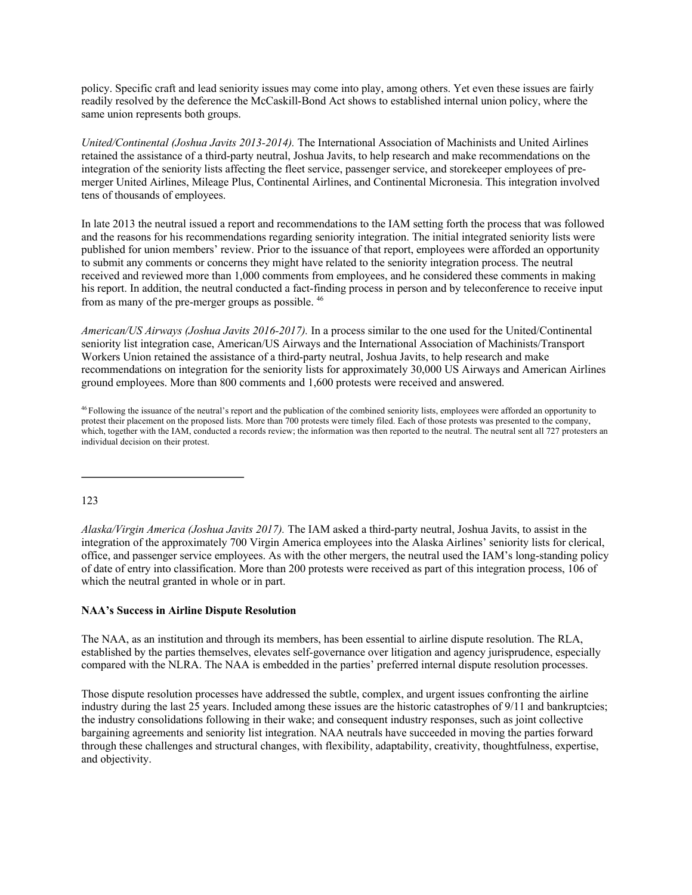policy. Specific craft and lead seniority issues may come into play, among others. Yet even these issues are fairly readily resolved by the deference the McCaskill-Bond Act shows to established internal union policy, where the same union represents both groups.

*United/Continental (Joshua Javits 2013-2014).* The International Association of Machinists and United Airlines retained the assistance of a third-party neutral, Joshua Javits, to help research and make recommendations on the integration of the seniority lists affecting the fleet service, passenger service, and storekeeper employees of premerger United Airlines, Mileage Plus, Continental Airlines, and Continental Micronesia. This integration involved tens of thousands of employees.

In late 2013 the neutral issued a report and recommendations to the IAM setting forth the process that was followed and the reasons for his recommendations regarding seniority integration. The initial integrated seniority lists were published for union members' review. Prior to the issuance of that report, employees were afforded an opportunity to submit any comments or concerns they might have related to the seniority integration process. The neutral received and reviewed more than 1,000 comments from employees, and he considered these comments in making his report. In addition, the neutral conducted a fact-finding process in person and by teleconference to receive input from as many of the pre-merger groups as possible. 46

*American/US Airways (Joshua Javits 2016-2017).* In a process similar to the one used for the United/Continental seniority list integration case, American/US Airways and the International Association of Machinists/Transport Workers Union retained the assistance of a third-party neutral, Joshua Javits, to help research and make recommendations on integration for the seniority lists for approximately 30,000 US Airways and American Airlines ground employees. More than 800 comments and 1,600 protests were received and answered.

123

*Alaska/Virgin America (Joshua Javits 2017).* The IAM asked a third-party neutral, Joshua Javits, to assist in the integration of the approximately 700 Virgin America employees into the Alaska Airlines' seniority lists for clerical, office, and passenger service employees. As with the other mergers, the neutral used the IAM's long-standing policy of date of entry into classification. More than 200 protests were received as part of this integration process, 106 of which the neutral granted in whole or in part.

# **NAA's Success in Airline Dispute Resolution**

The NAA, as an institution and through its members, has been essential to airline dispute resolution. The RLA, established by the parties themselves, elevates self-governance over litigation and agency jurisprudence, especially compared with the NLRA. The NAA is embedded in the parties' preferred internal dispute resolution processes.

Those dispute resolution processes have addressed the subtle, complex, and urgent issues confronting the airline industry during the last 25 years. Included among these issues are the historic catastrophes of 9/11 and bankruptcies; the industry consolidations following in their wake; and consequent industry responses, such as joint collective bargaining agreements and seniority list integration. NAA neutrals have succeeded in moving the parties forward through these challenges and structural changes, with flexibility, adaptability, creativity, thoughtfulness, expertise, and objectivity.

<sup>&</sup>lt;sup>46</sup> Following the issuance of the neutral's report and the publication of the combined seniority lists, employees were afforded an opportunity to protest their placement on the proposed lists. More than 700 protests were timely filed. Each of those protests was presented to the company, which, together with the IAM, conducted a records review; the information was then reported to the neutral. The neutral sent all 727 protesters an individual decision on their protest.